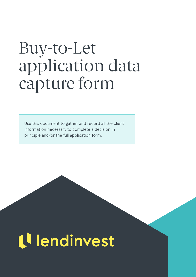## Buy-to-Let application data capture form

Use this document to gather and record all the client information necessary to complete a decision in principle and/or the full application form.

# tl lendinvest

020 3846 6838 | [btlsales@lendinvest.com](mailto:btlsales%40lendinvest.com?subject=) [| intermediaries.lendinvest.com |](https://intermediaries.lendinvest.com/) Last updated: 29/11/2018 1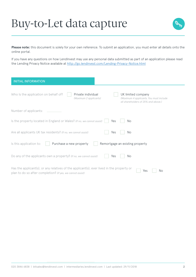

**Please note:** this document is solely for your own reference. To submit an application, you must enter all details onto the online portal.

If you have any questions on how LendInvest may use any personal data submitted as part of an application please read the Lending Privacy Notice available at <http://go.lendinvest.com/Lending-Privacy-Notice.html>

| <b>INITIAL INFORMATION</b>                                                                                                                              |                                                                                                      |
|---------------------------------------------------------------------------------------------------------------------------------------------------------|------------------------------------------------------------------------------------------------------|
| Who Is the application on behalf of?<br>Private individual<br>(Maximum 2 applicants)                                                                    | UK limited company<br>(Maximum 4 applicants. You must include<br>all shareholders of 25% and above.) |
| Number of applicants:                                                                                                                                   |                                                                                                      |
| Is the property located in England or Wales? (If no, we cannot assist)                                                                                  | Yes<br>No.                                                                                           |
| Are all applicants UK tax residents? (If no, we cannot assist)                                                                                          | No<br>Yes                                                                                            |
| Purchase a new property<br>Is this application to:                                                                                                      | Remortgage an existing property                                                                      |
| Do any of the applicants own a property? (If no, we cannot assist)                                                                                      | No<br>Yes                                                                                            |
| Has the applicant(s), or any relatives of the applicant(s), ever lived in the property or<br>plan to do so after completion? (If yes, we cannot assist) | No<br>Yes                                                                                            |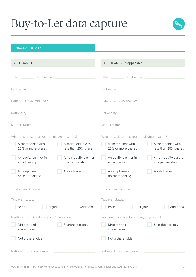

| <b>PERSONAL DETAILS</b>                                                                                                                                                                                                       |                                                                                        |
|-------------------------------------------------------------------------------------------------------------------------------------------------------------------------------------------------------------------------------|----------------------------------------------------------------------------------------|
| <b>APPLICANT1</b>                                                                                                                                                                                                             | APPLICANT 2 (if applicable)                                                            |
| Title: First name: Title: Title: Title: Title: Title: Title: Title: Title: Title: Title: Title: Title: Title: Title: Title: Title: Title: Title: Title: Title: Title: Title: Title: Title: Title: Title: Title: Title: Title: | Title: _____________ First name:                                                       |
| Last name: $-$                                                                                                                                                                                                                |                                                                                        |
| Date of birth (DD/MM/YYYY):<br>the control of the control of the control of the control of the control of                                                                                                                     | Date of birth (DD/MM/YYYY):                                                            |
|                                                                                                                                                                                                                               | Nationality:<br>the control of the control of the control of the control of            |
| Marital status:<br>the control of the control of the control of the control of the control of the control of                                                                                                                  | Marital status:                                                                        |
| What best describes your employment status?                                                                                                                                                                                   | What best describes your employment status?                                            |
| A shareholder with<br>A shareholder with<br>less than 25% shares<br>25% or more shares                                                                                                                                        | A shareholder with<br>A shareholder with<br>less than 25% shares<br>25% or more shares |
| An equity partner in<br>A non-equity partner<br>a partnership<br>in a partnership                                                                                                                                             | An equity partner in<br>A non-equity partner<br>in a partnership<br>a partnership      |
| An employee with<br>A sole trader<br>no shareholding                                                                                                                                                                          | An employee with<br>A sole trader<br>no shareholding                                   |
| Total annual income:                                                                                                                                                                                                          | Total annual income:                                                                   |
| Taxpayer status:                                                                                                                                                                                                              | Taxpayer status:                                                                       |
| Additional<br>Higher<br><b>Basic</b>                                                                                                                                                                                          | Additional<br>Basic<br>Higher                                                          |
| Position in applicant company (if applicable):                                                                                                                                                                                | Position in applicant company (if applicable):                                         |
| Director and<br>Shareholder only<br>shareholder                                                                                                                                                                               | Director and<br>Shareholder only<br>shareholder                                        |
| Not a shareholder                                                                                                                                                                                                             | Not a shareholder                                                                      |
| National Insurance number:                                                                                                                                                                                                    | National Insurance number:                                                             |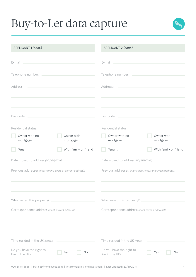

| APPLICANT 1 (cont.)                                                                                                                                                                                                            |                                            | APPLICANT 2 (cont.)                                                                                                                                                                                                            |                        |  |
|--------------------------------------------------------------------------------------------------------------------------------------------------------------------------------------------------------------------------------|--------------------------------------------|--------------------------------------------------------------------------------------------------------------------------------------------------------------------------------------------------------------------------------|------------------------|--|
| E-mail: E-mail: E-mail: E-mail: E-mail: E-mail: E-mail: E-mail: E-mail: E-mail: E-mail: E-mail: E-mail: E-mail: E-mail: E-mail: E-mail: E-mail: E-mail: E-mail: E-mail: E-mail: E-mail: E-mail: E-mail: E-mail: E-mail: E-mail |                                            |                                                                                                                                                                                                                                |                        |  |
|                                                                                                                                                                                                                                |                                            |                                                                                                                                                                                                                                |                        |  |
|                                                                                                                                                                                                                                |                                            |                                                                                                                                                                                                                                |                        |  |
| Address:                                                                                                                                                                                                                       | <u> 1989 - Johann John Stein, markin f</u> | Address:                                                                                                                                                                                                                       |                        |  |
|                                                                                                                                                                                                                                |                                            |                                                                                                                                                                                                                                |                        |  |
| Postcode: New York Postcode: New York Postcode: New York Postcode: New York Postcode: New York Postcode: New York Postcode: New York Postcode: New York Postcode: New York Postcode: New York Postcode: New York Postcode: New |                                            | Postcode: New York Postcode: New York Postcode: New York Postcode: New York Postcode: New York Postcode: New York Postcode: New York Postcode: New York Postcode: New York Postcode: New York Postcode: New York Postcode: New |                        |  |
| Residential status:                                                                                                                                                                                                            |                                            | Residential status:                                                                                                                                                                                                            |                        |  |
| Owner with no<br>mortgage                                                                                                                                                                                                      | Owner with<br>mortgage                     | Owner with no<br>mortgage                                                                                                                                                                                                      | Owner with<br>mortgage |  |
| Tenant                                                                                                                                                                                                                         | With family or friend                      | Tenant                                                                                                                                                                                                                         | With family or friend  |  |
| Date moved to address (DD/MM/YYYY): ______________________                                                                                                                                                                     |                                            | Date moved to address (DD/MM/YYYY):                                                                                                                                                                                            |                        |  |
| Previous addresses (if less than 3 years at current address):                                                                                                                                                                  |                                            | Previous addresses (if less than 3 years at current address):                                                                                                                                                                  |                        |  |
|                                                                                                                                                                                                                                |                                            |                                                                                                                                                                                                                                |                        |  |
| Who owned this property?                                                                                                                                                                                                       |                                            | Who owned this property?                                                                                                                                                                                                       |                        |  |
| Correspondence address (if not current address):                                                                                                                                                                               |                                            | Correspondence address (if not current address):                                                                                                                                                                               |                        |  |
|                                                                                                                                                                                                                                |                                            |                                                                                                                                                                                                                                |                        |  |
| Time resided in the UK (years):                                                                                                                                                                                                |                                            | Time resided in the UK (years):                                                                                                                                                                                                |                        |  |
| Do you have the right to<br>live in the UK?                                                                                                                                                                                    | No<br>Yes                                  | Do you have the right to<br>live in the UK?                                                                                                                                                                                    | No<br>Yes              |  |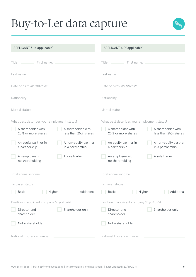

#### APPLICANT 3 (if applicable)

#### APPLICANT 4 (if applicable)

| First name:<br>Title: $\Box$                                                           | First name:                                                                            |
|----------------------------------------------------------------------------------------|----------------------------------------------------------------------------------------|
| Last name:                                                                             | Last name:                                                                             |
| Date of birth (DD/MM/YYYY):                                                            | Date of birth (DD/MM/YYYY):                                                            |
| Nationality:                                                                           | Nationality:                                                                           |
| Marital status:                                                                        | Marital status:                                                                        |
| What best describes your employment status?                                            | What best describes your employment status?                                            |
| A shareholder with<br>A shareholder with<br>less than 25% shares<br>25% or more shares | A shareholder with<br>A shareholder with<br>25% or more shares<br>less than 25% shares |
| A non-equity partner<br>An equity partner in<br>a partnership<br>in a partnership      | An equity partner in<br>A non-equity partner<br>a partnership<br>in a partnership      |
| An employee with<br>A sole trader<br>no shareholding                                   | An employee with<br>A sole trader<br>no shareholding                                   |
| Total annual income:                                                                   | Total annual income:                                                                   |
| Taxpayer status:                                                                       | Taxpayer status:                                                                       |
| Additional<br>Higher<br>Basic                                                          | Additional<br><b>Basic</b><br>Higher                                                   |
| Position in applicant company (if applicable):                                         | Position in applicant company (if applicable):                                         |
| Director and<br>Shareholder only<br>shareholder                                        | Director and<br>Shareholder only<br>shareholder                                        |
| Not a shareholder                                                                      | Not a shareholder                                                                      |
| National Insurance number:                                                             | National Insurance number:                                                             |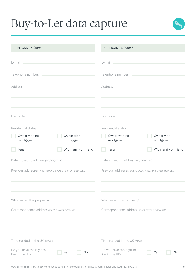

| APPLICANT 3 (cont.)                                                                                                                                                                                                            | APPLICANT 4 (cont.)                                                                                                                                                                                                            |  |  |
|--------------------------------------------------------------------------------------------------------------------------------------------------------------------------------------------------------------------------------|--------------------------------------------------------------------------------------------------------------------------------------------------------------------------------------------------------------------------------|--|--|
| E-mail: E-mail: E-mail: E-mail: E-mail: E-mail: E-mail: E-mail: E-mail: E-mail: E-mail: E-mail: E-mail: E-mail: E-mail: E-mail: E-mail: E-mail: E-mail: E-mail: E-mail: E-mail: E-mail: E-mail: E-mail: E-mail: E-mail: E-mail |                                                                                                                                                                                                                                |  |  |
|                                                                                                                                                                                                                                |                                                                                                                                                                                                                                |  |  |
|                                                                                                                                                                                                                                |                                                                                                                                                                                                                                |  |  |
| Address:<br><u> 1989 - Johann John Stein, markin f</u>                                                                                                                                                                         | Address:                                                                                                                                                                                                                       |  |  |
|                                                                                                                                                                                                                                |                                                                                                                                                                                                                                |  |  |
| Postcode: New York Postcode: New York Postcode: New York Postcode: New York Postcode: New York Postcode: New York Postcode: New York Postcode: New York Postcode: New York Postcode: New York Postcode: New York Postcode: New | Postcode: New York Postcode: New York Postcode: New York Postcode: New York Postcode: New York Postcode: New York Postcode: New York Postcode: New York Postcode: New York Postcode: New York Postcode: New York Postcode: New |  |  |
| Residential status:                                                                                                                                                                                                            | Residential status:                                                                                                                                                                                                            |  |  |
| Owner with no<br>Owner with<br>mortgage<br>mortgage                                                                                                                                                                            | Owner with no<br>Owner with<br>mortgage<br>mortgage                                                                                                                                                                            |  |  |
| With family or friend<br>Tenant                                                                                                                                                                                                | With family or friend<br>Tenant                                                                                                                                                                                                |  |  |
| Date moved to address (DD/MM/YYYY): ______________________                                                                                                                                                                     | Date moved to address (DD/MM/YYYY):                                                                                                                                                                                            |  |  |
| Previous addresses (if less than 3 years at current address):                                                                                                                                                                  | Previous addresses (if less than 3 years at current address):                                                                                                                                                                  |  |  |
|                                                                                                                                                                                                                                |                                                                                                                                                                                                                                |  |  |
| Who owned this property? ___________                                                                                                                                                                                           | Who owned this property?                                                                                                                                                                                                       |  |  |
| Correspondence address (if not current address):                                                                                                                                                                               | Correspondence address (if not current address):                                                                                                                                                                               |  |  |
|                                                                                                                                                                                                                                |                                                                                                                                                                                                                                |  |  |
| Time resided in the UK (years):                                                                                                                                                                                                | Time resided in the UK (years):                                                                                                                                                                                                |  |  |
| Do you have the right to<br>Yes<br>No<br>live in the UK?                                                                                                                                                                       | Do you have the right to<br>Yes<br>No<br>live in the UK?                                                                                                                                                                       |  |  |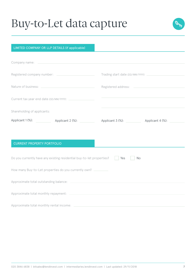

#### LIMITED COMPANY OR LLP DETAILS (if applicable)

| Company name: Name and Separate and Separate and Separate and Separate and Separate and Separate and Separate and Separate and Separate and Separate and Separate and Separate and Separate and Separate and Separate and Sepa |           |
|--------------------------------------------------------------------------------------------------------------------------------------------------------------------------------------------------------------------------------|-----------|
|                                                                                                                                                                                                                                |           |
|                                                                                                                                                                                                                                |           |
|                                                                                                                                                                                                                                |           |
| Shareholding of applicants:                                                                                                                                                                                                    |           |
| Applicant 1 (%): Applicant 2 (%): Applicant 3 (%): Applicant 3 (%): Applicant 4 (%):                                                                                                                                           |           |
|                                                                                                                                                                                                                                |           |
| <b>CURRENT PROPERTY PORTFOLIO</b>                                                                                                                                                                                              |           |
| Do you currently have any existing residential buy-to-let properties?                                                                                                                                                          | Yes<br>No |
| How many Buy-to-Let properties do you currently own?                                                                                                                                                                           |           |
|                                                                                                                                                                                                                                |           |
|                                                                                                                                                                                                                                |           |
|                                                                                                                                                                                                                                |           |

Approximate total monthly rental income: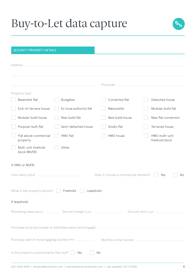

| <b>SECURITY PROPERTY DETAILS</b>                     |                                                                            |                                       |                                  |
|------------------------------------------------------|----------------------------------------------------------------------------|---------------------------------------|----------------------------------|
| Address:                                             |                                                                            |                                       |                                  |
|                                                      |                                                                            | Postcode:                             |                                  |
| Property type:                                       |                                                                            |                                       |                                  |
| <b>Basement flat</b>                                 | <b>Bungalow</b>                                                            | Converted flat                        | Detached house                   |
| End-of-terrace house                                 | Ex-local authority flat                                                    | Maisonette                            | Modular build flat               |
| Modular build house                                  | New build flat                                                             | New build house                       | New flat conversion              |
| Purpose-built flat                                   | Semi-detached house                                                        | Studio flat                           | Terraced house                   |
| Flat above commercial<br>property                    | HMO flat                                                                   | HMO house                             | HMO multi-unit<br>freehold block |
| Multi-unit freehold<br>block (MUFB)                  | Other                                                                      |                                       |                                  |
| If HMO or MUFB:                                      |                                                                            |                                       |                                  |
| How many units?                                      |                                                                            | Does it include a commercial element? | <b>No</b><br>Yes                 |
| What is the property tenure?                         | Freehold<br>Leasehold                                                      |                                       |                                  |
| If leasehold:                                        |                                                                            |                                       |                                  |
|                                                      |                                                                            |                                       | Ground rent $(E \text{ pal}:$    |
|                                                      | Purchase price (purchase) or estimated value (remortgage): _______________ |                                       |                                  |
|                                                      |                                                                            |                                       |                                  |
| Is the property predominantly flat roof? $\ \cdot\ $ | Yes<br>No                                                                  |                                       |                                  |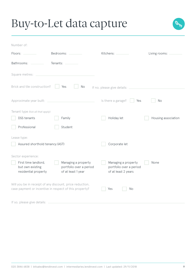

| Number of:                                                       |                                                                                                                    |                                                                       |                     |
|------------------------------------------------------------------|--------------------------------------------------------------------------------------------------------------------|-----------------------------------------------------------------------|---------------------|
| Floors:                                                          | Bedrooms: _                                                                                                        | Kitchens:                                                             | Living rooms:       |
| Bathrooms:                                                       | Tenants:                                                                                                           |                                                                       |                     |
| Square metres:                                                   |                                                                                                                    |                                                                       |                     |
| Brick and tile construction?                                     | Yes<br>No                                                                                                          | If no, please give details:                                           |                     |
| Approximate year built:                                          | <u> 1989 - Johann Barbara, martxa al</u>                                                                           | Is there a garage?<br>Yes                                             | No                  |
| Tenant type (tick all that apply):                               |                                                                                                                    |                                                                       |                     |
| DSS tenants                                                      | Family                                                                                                             | Holiday let                                                           | Housing association |
| Professional                                                     | Student                                                                                                            |                                                                       |                     |
| Lease type:                                                      |                                                                                                                    |                                                                       |                     |
| Assured shorthold tenancy (AST)                                  |                                                                                                                    | Corporate let                                                         |                     |
| Sector experience:                                               |                                                                                                                    |                                                                       |                     |
| First time landlord,<br>but own existing<br>residential property | Managing a property<br>portfolio over a period<br>of at least 1 year                                               | Managing a property<br>portfolio over a period<br>of at least 2 years | None                |
|                                                                  | Will you be in receipt of any discount, price reduction,<br>case payment or incentive in respect of this property? | Yes<br>No                                                             |                     |
| If so, please give details:                                      |                                                                                                                    |                                                                       |                     |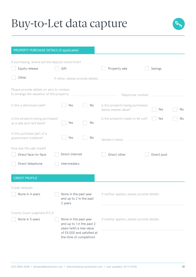

| PROPERTY PURCHASE DETAILS (if applicable)                                             |                                                                                                                                        |    |                                                        |             |    |
|---------------------------------------------------------------------------------------|----------------------------------------------------------------------------------------------------------------------------------------|----|--------------------------------------------------------|-------------|----|
| If purchasing, where will the deposit come from?                                      |                                                                                                                                        |    |                                                        |             |    |
| Equity release                                                                        | Gift                                                                                                                                   |    | Property sale                                          | Savings     |    |
| Other                                                                                 | If other, please provide details:                                                                                                      |    |                                                        |             |    |
| Please provide details on who to contact<br>to arrange the valuation of the property: |                                                                                                                                        |    | Telephone number:                                      |             |    |
| Is this a distressed sale?                                                            | Yes                                                                                                                                    | No | Is the property being purchased<br>below market value? | Yes         | No |
| Is the property being purchased<br>as a sale and rent back?                           | Yes                                                                                                                                    | No | Is the property ready to let out?                      | Yes         | No |
| Is this purchase part of a<br>government initiative?                                  | Yes                                                                                                                                    | No | Vendor's name:                                         |             |    |
| How was the sale made?                                                                |                                                                                                                                        |    |                                                        |             |    |
| Direct face-to-face                                                                   | Direct internet                                                                                                                        |    | Direct other                                           | Direct post |    |
| Direct telephone                                                                      | Intermediary                                                                                                                           |    |                                                        |             |    |
| <b>CREDIT PROFILE</b>                                                                 |                                                                                                                                        |    |                                                        |             |    |
| Credit defaults                                                                       |                                                                                                                                        |    |                                                        |             |    |
| None in 4 years                                                                       | None in the past year<br>and up to 2 in the past<br>2 years                                                                            |    | If neither applies, please provide details:            |             |    |
| County Court judgment (CCJ)                                                           |                                                                                                                                        |    |                                                        |             |    |
| None in 5 years                                                                       | None in the past year<br>and up to 1 in the past 2<br>years (with a max value<br>of £5,000 and satisfied at<br>the time of completion) |    | If neither applies, please provide details:            |             |    |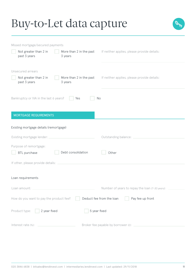

| Missed mortgage/secured payments                                                                                                                                                                     |                                                 |
|------------------------------------------------------------------------------------------------------------------------------------------------------------------------------------------------------|-------------------------------------------------|
| Not greater than 2 in<br>More than 2 in the past<br>past 3 years<br>3 years                                                                                                                          | If neither applies, please provide details:     |
| Unsecured arrears                                                                                                                                                                                    |                                                 |
| Not greater than 2 in<br>More than 2 in the past<br>3 years<br>past 3 years                                                                                                                          | If neither applies, please provide details:     |
| Bankruptcy or IVA in the last 6 years?<br>Yes                                                                                                                                                        | No                                              |
| <b>MORTGAGE REQUIREMENTS</b>                                                                                                                                                                         |                                                 |
| Existing mortgage details (remortgage)                                                                                                                                                               |                                                 |
| Existing mortgage lender:                                                                                                                                                                            | Outstanding balance:                            |
| Purpose of remortgage:<br>Debt consolidation<br><b>BTL</b> purchase                                                                                                                                  | Other                                           |
| If other, please provide details:                                                                                                                                                                    |                                                 |
| Loan requirements                                                                                                                                                                                    |                                                 |
| Loan amount: _                                                                                                                                                                                       | Number of years to repay the loan (7-30 years): |
| How do you want to pay the product fee?                                                                                                                                                              | Pay fee up front<br>Deduct fee from the loan    |
| Product type:<br>2 year fixed                                                                                                                                                                        | 5 year fixed                                    |
| Interest rate (%):<br>$\mathcal{L}(\mathcal{L}(\mathcal{L}))$ and $\mathcal{L}(\mathcal{L}(\mathcal{L}))$ and $\mathcal{L}(\mathcal{L}(\mathcal{L}))$ . Then $\mathcal{L}(\mathcal{L}(\mathcal{L}))$ |                                                 |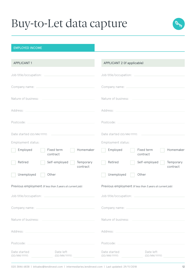

#### EMPLOYED INCOME

| <b>APPLICANT1</b>                                                                                                                                                                                                              | APPLICANT 2 (if applicable)                                                                          |
|--------------------------------------------------------------------------------------------------------------------------------------------------------------------------------------------------------------------------------|------------------------------------------------------------------------------------------------------|
| Job title/occupation:<br>and the control of the control of the control of the control of the control of                                                                                                                        | Job title/occupation:                                                                                |
| Company name: Name and Company name and Company name and Company name and Company name and Company of the Company of the Company of the Company of the Company of the Company of the Company of the Company of the Company of  |                                                                                                      |
| Nature of business:                                                                                                                                                                                                            | Nature of business: _                                                                                |
| Address: National Address:                                                                                                                                                                                                     |                                                                                                      |
| Postcode:                                                                                                                                                                                                                      | Postcode:                                                                                            |
| Date started (DD/MM/YYYY):                                                                                                                                                                                                     | Date started (DD/MM/YYYY):                                                                           |
| Employment status:                                                                                                                                                                                                             | Employment status:                                                                                   |
| Employed<br>Fixed term<br>Homemaker<br>contract                                                                                                                                                                                | Employed<br>Fixed term<br>Homemaker<br>contract                                                      |
| Retired<br>Self-employed<br>Temporary<br>contract                                                                                                                                                                              | Retired<br>Self-employed<br>Temporary<br>contract                                                    |
| Unemployed<br>Other                                                                                                                                                                                                            | Unemployed<br>Other                                                                                  |
| Previous employment (if less than 3 years at current job):                                                                                                                                                                     | Previous employment (if less than 3 years at current job):                                           |
| Job title/occupation:                                                                                                                                                                                                          | Job title/occupation:                                                                                |
|                                                                                                                                                                                                                                |                                                                                                      |
|                                                                                                                                                                                                                                |                                                                                                      |
| Address: Note and the Committee of the Committee of the Committee of the Committee of the Committee of the Committee of the Committee of the Committee of the Committee of the Committee of the Committee of the Committee of  | Address: National Address: National Address: National Address: National Address: National Address: N |
| Postcode: New York Postcode: New York Postcode: New York Postcode: New York Postcode: New York Postcode: New York Postcode: New York Postcode: New York Postcode: New York Postcode: New York Postcode: New York Postcode: New |                                                                                                      |
| Date left<br>Date started                                                                                                                                                                                                      | Date started<br>Date left                                                                            |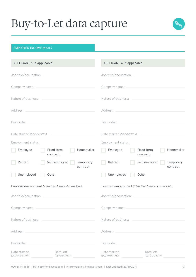

#### EMPLOYED INCOME *(cont.)*

| APPLICANT 3 (if applicable)                                                                                                                                                                                                    | APPLICANT 4 (if applicable)                                                                                                                                                                                                   |
|--------------------------------------------------------------------------------------------------------------------------------------------------------------------------------------------------------------------------------|-------------------------------------------------------------------------------------------------------------------------------------------------------------------------------------------------------------------------------|
|                                                                                                                                                                                                                                |                                                                                                                                                                                                                               |
| Company name: Name and Company name and Company name and Company name and Company name and Company of the Company of the Company of the Company of the Company of the Company of the Company of the Company of the Company of  |                                                                                                                                                                                                                               |
| Nature of business: Nature of business:                                                                                                                                                                                        | Nature of business: ____________                                                                                                                                                                                              |
|                                                                                                                                                                                                                                |                                                                                                                                                                                                                               |
| Postcode: New York Postcode: New York Postcode: New York Postcode: New York Postcode: New York Postcode: New York Postcode: New York Postcode: New York Postcode: New York Postcode: New York Postcode: New York Postcode: New |                                                                                                                                                                                                                               |
|                                                                                                                                                                                                                                | Date started (DD/MM/YYYY):                                                                                                                                                                                                    |
| Employment status:                                                                                                                                                                                                             | Employment status:                                                                                                                                                                                                            |
| Employed<br>Fixed term<br>Homemaker<br>contract                                                                                                                                                                                | Fixed term<br>Employed<br>Homemaker<br>contract                                                                                                                                                                               |
| Self-employed<br>Temporary<br>Retired<br>contract                                                                                                                                                                              | Retired<br>Self-employed<br>Temporary<br>contract                                                                                                                                                                             |
| Unemployed<br>Other                                                                                                                                                                                                            | Unemployed<br>Other                                                                                                                                                                                                           |
| Previous employment (if less than 3 years at current job):                                                                                                                                                                     | Previous employment (if less than 3 years at current job):                                                                                                                                                                    |
|                                                                                                                                                                                                                                | Job title/occupation:<br>the control of the control of the control of the control of                                                                                                                                          |
| Company name: New York Company name: New York Company name: New York Company New York Company of the University of the University of the University of the University of the University of the University of the University of |                                                                                                                                                                                                                               |
|                                                                                                                                                                                                                                | Nature of business: Nature of business:                                                                                                                                                                                       |
| Address: North Management and Communications of the Communications of the Communications of the Communications of the Communications of the Communications of the Communications of the Communications of the Communications o | Address: No. 1998. Address: No. 1999. Address: No. 1999. Address: No. 1999. Address: No. 1999. Address: No. 1999. Address: No. 1999. Address: No. 1999. Address: No. 1999. Address: No. 1999. Address: No. 1999. Address: No. |
| Postcode: _<br>the control of the control of the control of                                                                                                                                                                    |                                                                                                                                                                                                                               |
| Date left<br>Date started<br>(DD/MM/YYYY):<br>(DD/MM/YYYY):                                                                                                                                                                    | Date started<br>Date left<br>(DD/MM/YYYY):<br>(DD/MM/YYYY):                                                                                                                                                                   |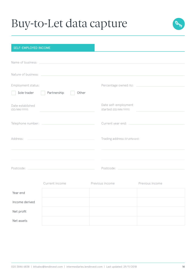

| <b>SELF-EMPLOYED INCOME</b>                                                                                                                                                                                                    |                                                                                           |                                               |
|--------------------------------------------------------------------------------------------------------------------------------------------------------------------------------------------------------------------------------|-------------------------------------------------------------------------------------------|-----------------------------------------------|
|                                                                                                                                                                                                                                |                                                                                           |                                               |
| Name of business: Name of business:                                                                                                                                                                                            |                                                                                           |                                               |
| Nature of business: Nature of business:                                                                                                                                                                                        |                                                                                           |                                               |
| Employment status:                                                                                                                                                                                                             |                                                                                           |                                               |
| Sole trader                                                                                                                                                                                                                    | Partnership<br>Other                                                                      |                                               |
| Date established<br>(DD/MM/YYYY):                                                                                                                                                                                              |                                                                                           | Date self-employment<br>started (DD/MM/YYYY): |
|                                                                                                                                                                                                                                |                                                                                           |                                               |
| Address:                                                                                                                                                                                                                       | the control of the control of the control of the control of the control of the control of | Trading address ((if different):              |
|                                                                                                                                                                                                                                |                                                                                           |                                               |
| Postcode: New York Postcode: New York Postcode: New York Postcode: New York Postcode: New York Postcode: New York Postcode: New York Postcode: New York Postcode: New York Postcode: New York Postcode: New York Postcode: New |                                                                                           | Postcode: New York Postcode:                  |
| Current income                                                                                                                                                                                                                 |                                                                                           | Previous income<br>Previous income            |

|                | <b>UUITUITE IITUUITE</b> | TI UVIUUJ IIIUUIIIU | TI LONDUS IIIU UITIU |
|----------------|--------------------------|---------------------|----------------------|
| Year end       |                          |                     |                      |
| Income derived |                          |                     |                      |
| Net profit     |                          |                     |                      |
| Net assets     |                          |                     |                      |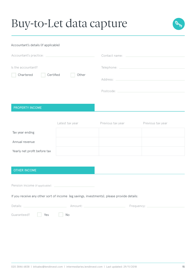

#### Accountant's details (if applicable)

| Is the accountant?     |       |                                                     |
|------------------------|-------|-----------------------------------------------------|
|                        |       | Telephone: <u>_________________________________</u> |
| Chartered<br>Certified | Other |                                                     |
|                        |       | Postcode: ____________                              |

#### PROPERTY INCOME

|                              | Latest tax year | Previous tax year | Previous tax year |
|------------------------------|-----------------|-------------------|-------------------|
| Tax year ending              |                 |                   |                   |
| Annual revenue               |                 |                   |                   |
| Yearly net profit before tax |                 |                   |                   |

#### OTHER INCOME

Pension income *(if applicable)*:

If you receive any other sort of income (eg savings, investments), please provide details:

| Details:                           |  | Amount: . | Frequency: $\_$ |
|------------------------------------|--|-----------|-----------------|
| Guaranteed? <b>Preset State</b> No |  |           |                 |